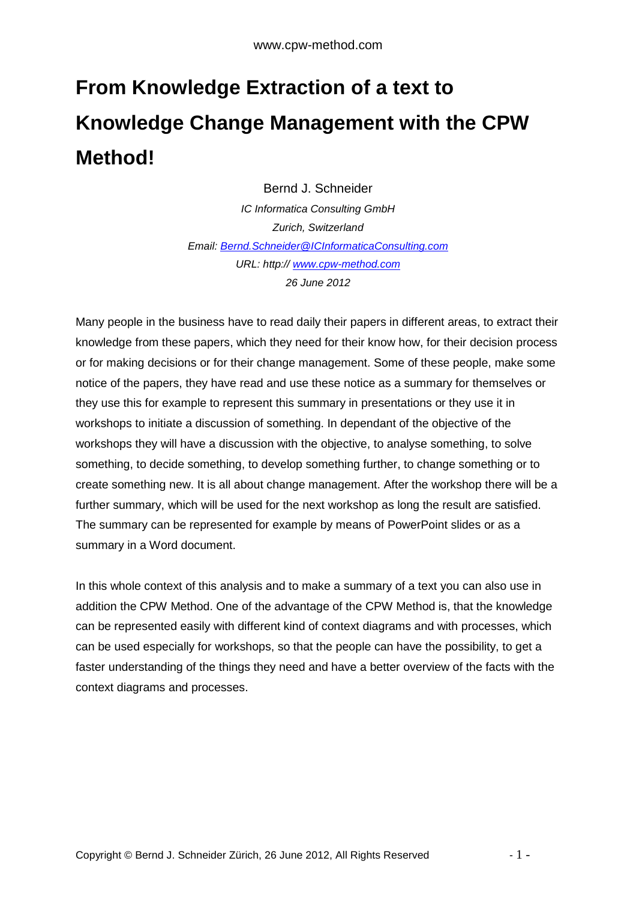## **From Knowledge Extraction of a text to Knowledge Change Management with the CPW Method!**

Bernd J. Schneider IC Informatica Consulting GmbH Zurich, Switzerland Email: Bernd.Schneider@ICInformaticaConsulting.com URL: http:// www.cpw-method.com 26 June 2012

Many people in the business have to read daily their papers in different areas, to extract their knowledge from these papers, which they need for their know how, for their decision process or for making decisions or for their change management. Some of these people, make some notice of the papers, they have read and use these notice as a summary for themselves or they use this for example to represent this summary in presentations or they use it in workshops to initiate a discussion of something. In dependant of the objective of the workshops they will have a discussion with the objective, to analyse something, to solve something, to decide something, to develop something further, to change something or to create something new. It is all about change management. After the workshop there will be a further summary, which will be used for the next workshop as long the result are satisfied. The summary can be represented for example by means of PowerPoint slides or as a summary in a Word document.

In this whole context of this analysis and to make a summary of a text you can also use in addition the CPW Method. One of the advantage of the CPW Method is, that the knowledge can be represented easily with different kind of context diagrams and with processes, which can be used especially for workshops, so that the people can have the possibility, to get a faster understanding of the things they need and have a better overview of the facts with the context diagrams and processes.